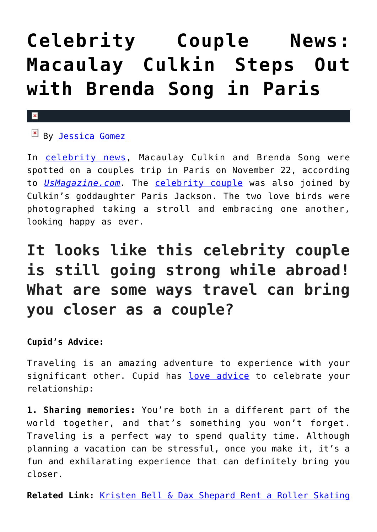# **[Celebrity Couple News:](https://cupidspulse.com/121971/celebrity-couple-news-macaulay-culkin-brenda-song-paris/) [Macaulay Culkin Steps Out](https://cupidspulse.com/121971/celebrity-couple-news-macaulay-culkin-brenda-song-paris/) [with Brenda Song in Paris](https://cupidspulse.com/121971/celebrity-couple-news-macaulay-culkin-brenda-song-paris/)**

#### $\mathbf{x}$

**EX By [Jessica Gomez](http://cupidspulse.com/122405/jessica-gomez/)** 

In [celebrity news](http://cupidspulse.com/celebrity-news/), Macaulay Culkin and Brenda Song were spotted on a couples trip in Paris on November 22, according to *[UsMagazine.com](https://www.usmagazine.com/celebrity-news/pictures/macaulay-culkin-steps-brenda-song-paris-jackson-paris-photos/).* The [celebrity couple](http://cupidspulse.com/?s=celebrity+couples) was also joined by Culkin's goddaughter Paris Jackson. The two love birds were photographed taking a stroll and embracing one another, looking happy as ever.

## **It looks like this celebrity couple is still going strong while abroad! What are some ways travel can bring you closer as a couple?**

### **Cupid's Advice:**

Traveling is an amazing adventure to experience with your significant other. Cupid has [love advice](http://cupidspulse.com/relationship-experts/) to celebrate your relationship:

**1. Sharing memories:** You're both in a different part of the world together, and that's something you won't forget. Traveling is a perfect way to spend quality time. Although planning a vacation can be stressful, once you make it, it's a fun and exhilarating experience that can definitely bring you closer.

**Related Link:** [Kristen Bell & Dax Shepard Rent a Roller Skating](http://cupidspulse.com/121916/celebrity-couple-news-kristen-bell-dax-shepard-date-night-rollerskating/)